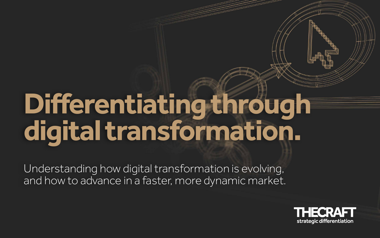## **Differentiating through digital transformation.**

Understanding how digital transformation is evolving, and how to advance in a faster, more dynamic market.



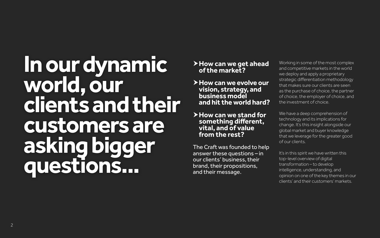**In our dynamic world, our clients and their customers are asking bigger questions...**

- **How can we get ahead of the market?**
- **How can we evolve our vision, strategy, and business model and hit the world hard?**
- **How can we stand for something different, vital, and of value from the rest?**

The Craft was founded to help answer these questions – in our clients' business, their brand, their propositions, and their message.

We have a deep comprehension of technology and its implications for change. It's this insight alongside our global market and buyer knowledge that we leverage for the greater good of our clients.

It's in this spirit we have written this top-level overview of digital transformation – to develop intelligence, understanding, and opinion on one of the key themes in our clients' and their customers' markets.

Working in some of the most complex and competitive markets in the world we deploy and apply a proprietary strategic differentiation methodology that makes sure our clients are seen as the purchase of choice, the partner of choice, the employer of choice, and the investment of choice.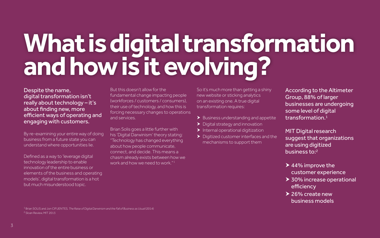## **What is digital transformation and how is it evolving?**

Despite the name, digital transformation isn't really about technology – it's about finding new, more efficient ways of operating and engaging with customers.

By re-examining your entire way of doing business from a future state you can understand where opportunities lie.

Brian Solis goes a little further with his 'Digital Darwinism' theory stating: "Technology has changed everything about how people communicate, connect, and decide. This means a chasm already exists between how we work and how we need to work."<sup>1</sup>

Defined as a way to 'leverage digital technology leadership to enable innovation of the entire business or elements of the business and operating models', digital transformation is a hot but much misunderstood topic.

But this doesn't allow for the fundamental change impacting people (workforces / customers / consumers), their use of technology, and how this is forcing necessary changes to operations and services.

- 
- > Digital strategy and innovation
- $\blacktriangleright$  Internal operational digitization
- Digitized customer interfaces and the mechanisms to support them

- ▶ 44% improve the customer experience
- ▶ 30% increase operational efficiency

▶ 26% create new business models

So it's much more than getting a shiny new website or sticking analytics on an existing one. A true digital transformation requires:  $\blacktriangleright$  Business understanding and appetite According to the Altimeter Group, 88% of larger businesses are undergoing some level of digital transformation.1

1 Brian SOLIS and Jon CIFUENTES, *The Raise of Digital Darwinism and the Fall of Business as Usual* (2014) 2 Sloan Review, MIT 2013

MIT Digital research suggest that organizations are using digitized business to:2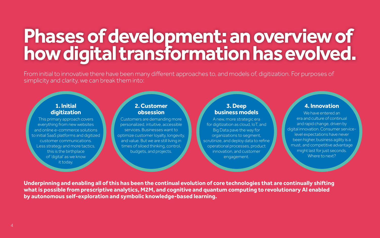### **Phases of development: an overview of how digital transformation has evolved.**

From initial to innovative there have been many different approaches to, and models of, digitization. For purposes of simplicity and clarity, we can break them into:

**Underpinning and enabling all of this has been the continual evolution of core technologies that are continually shifting what is possible from prescriptive analytics, M2M, and cognitive and quantum computing to revolutionary AI enabled by autonomous self-exploration and symbolic knowledge-based learning.**

#### **1. Initial digitization**

This primary approach covers everything from new websites and online e-commerce solutions to initial SaaS platforms and digitized customer communications. Less strategy and more tactics, this is the birthplace of 'digital' as we know it today.

#### **3. Deep business models**

A new, more strategic era for digitization as cloud, IoT, and Big Data pave the way for organizations to segment, scrutinize, and deploy data to refine operational processes, product innovation, and customer engagement.

#### **2. Customer obsession**

Customers are demanding more personalized, intuitive, accessible services. Businesses want to optimize customer loyalty, longevity, and value. But we are still living in times of siloed thinking, control, budgets, and projects.

#### **4. Innovation**

We have entered an era and culture of continual and rapid change, driven by digital innovation. Consumer servicelevel expectations have never been higher, business agility is a must, and competitive advantage might last for just seconds. Where to next?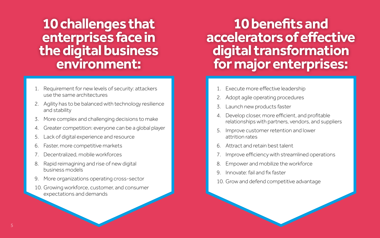### **10 benefits and accelerators of effective digital transformation for major enterprises:**

- 1. Execute more effective leadership
- 2. Adopt agile operating procedures
- 3. Launch new products faster
- 4. Develop closer, more efficient, and profitable relationships with partners, vendors, and suppliers
- 5. Improve customer retention and lower attrition rates
- 6. Attract and retain best talent
- 7. Improve efficiency with streamlined operations
- 8. Empower and mobilize the workforce
- 9. Innovate: fail and fix faster
- 10. Grow and defend competitive advantage
- Requirement for new levels of security: attackers use the same architectures
- 2. Agility has to be balanced with technology resilience and stability
- 3. More complex and challenging decisions to make
- 4. Greater competition: everyone can be a global player
- 5. Lack of digital experience and resource
- 6. Faster, more competitive markets
- 7. Decentralized, mobile workforces
- 8. Rapid reimagining and rise of new digital business models
- 9. More organizations operating cross-sector
- 10. Growing workforce, customer, and consumer expectations and demands

### **10 challenges that enterprises face in the digital business environment:**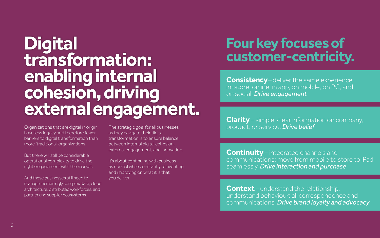**Consistency**– deliver the same experience in-store, online, in app, on mobile, on PC, and on social. *Drive engagement*

**Clarity** – simple, clear information on company, product, or service. *Drive belief*

**Continuity**– integrated channels and communications: move from mobile to store to iPad seamlessly. *Drive interaction and purchase*

**Context**– understand the relationship, understand behaviour: all correspondence and communications. *Drive brand loyalty and advocacy*

# **Four key focuses of**

### **customer-centricity. Digital transformation: enabling internal cohesion, driving external engagement.**

Organizations that are digital in origin have less legacy and therefore fewer barriers to digital transformation than more 'traditional' organizations.

But there will still be considerable operational complexity to drive the right engagement with the market.

And these businesses still need to manage increasingly complex data, cloud architecture, distributed workforces, and partner and supplier ecosystems.

The strategic goal for all businesses as they navigate their digital transformation is to ensure balance between internal digital cohesion, external engagement, and innovation.

It's about continuing with business as normal while constantly reinventing and improving on what it is that you deliver.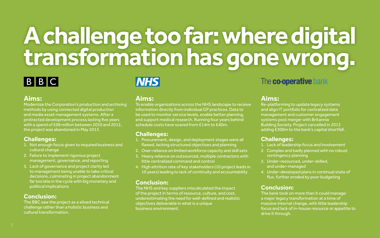## **A challenge too far: where digital transformation has gone wrong.**



#### **Aims:**

Modernize the Corporation's production and archiving methods by using connected digital production and media asset management systems. After a protracted development process lasting five years with a spend of £98 million between 2010 and 2012, the project was abandoned in May 2013.

#### **Challenges:**

- 1. Not enough focus given to required business and cultural change
- 2. Failure to implement rigorous project management, governance, and reporting
- 3. Lack of governance and project clarity led to management being unable to take critical decisions, culminating in project abandonment far too late in the cycle with big monetary and political implications

#### **Conclusion:**

The BBC saw the project as a siloed technical challenge rather than a holistic business and cultural transformation.

### **Aims:**

**NHS** 

To enable organizations across the NHS landscape to receive information directly from individual GP practices. Data to be used to monitor service levels, enable better planning, and support medical research. Running four years behind schedule costs have soared from £14m to £40m.

#### **Challenges:**

- 1. Procurement, design, and deployment stages were all flawed, lacking structured objectives and planning
- 2. Over-reliance on limited workforce capacity and skill sets
- 3. Heavy reliance on outsourced, multiple contractors with little centralized command and control
- 4. High attrition rate of key stakeholders (10 project leads in 10 years) leading to lack of continuity and accountability

#### **Conclusion:**

The NHS and key suppliers miscalculated the impact of the project in terms of resource, culture, and cost, underestimating the need for well-defined and realistic objectives deliverable in what is a unique business environment.

#### **Aims:**

Re-platforming to update legacy systems and align IT portfolio for centralized data management and customer engagement systems post merger with Britannia Building Society. Project cancelled in 2013 adding £300m to the bank's capital shortfall.

- 
- 

### The co-operative bank

#### **Challenges:**

1. Lack of leadership focus and involvement

- 2. Complex and badly planned with no robust contingency planning
- 3. Under-resourced, under-skilled,
	- and under-managed
- 4. Under-developed plans in continual state of flux, further eroded by poor budgeting

#### **Conclusion:**

The bank took on more than it could manage: a major legacy transformation at a time of massive internal change, with little leadership focus and lack of in-house resource or appetite to drive it through.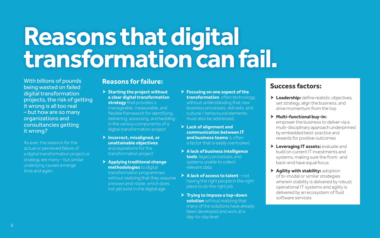### **Reasons that digital transformation can fail.**

With billions of pounds being wasted on failed digital transformation projects, the risk of getting it wrong is all too real – but how are so many organizations and consultancies getting it wrong?

As ever, the reasons for the actual or perceived failure of a digital transformation project or strategy are many – but similar underlying causes emerge time and again.

#### **Reasons for failure:**

 **Starting the project without a clear digital transformation strategy** that provides a

manageable, measurable, and flexible framework for identifying, delivering, assessing, and beddingin the various components of a digital transformation project

- **Incorrect, misaligned, or unattainable objectives** and aspirations for the transformation project
- **Applying traditional change methodologies** to digital transformation programmes without realizing that they assume a known end-state, which does not yet exist in the digital age
- **Focusing on one aspect of the transformation**, often technology, without understanding that new business processes, skill sets, and cultural / behavioural elements must also be addressed
- **Lack of alignment and communication between IT and business teams** is often a factor that is easily overlooked
- **A lack of business intelligence tools**, legacy processes, and systems unable to collect relevant data
- **A lack of access to talent** not having the right people in the right place to do the right job
- **Trying to impose a top-down solution** without realizing that many of the solutions have already been developed and work at a day-to-day level

### **Success factors:**

- **Leadership:** define realistic objectives, set strategy, align the business, and drive momentum from the top
- **Multi-functional buy-in:** empower the business to deliver via a multi-disciplinary approach underpinned by embedded best-practice and rewards for positive outcomes
- **Leveraging IT assets:** evaluate and build on current IT investments and systems, making sure the front- and back-end have equal focus
- **Agility with stability:** adoption of bi-modal or similar strategies wherein stability is delivered by robust operational IT systems and agility is delivered by an ecosystem of fluid software services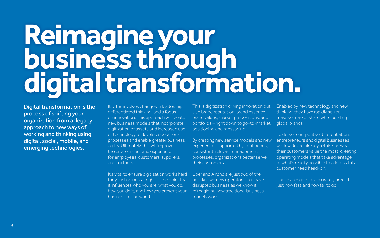Digital transformation is the process of shifting your organization from a 'legacy' approach to new ways of working and thinking using digital, social, mobile, and emerging technologies.

It often involves changes in leadership, differentiated thinking, and a focus on innovation. This approach will create new business models that incorporate digitization of assets and increased use of technology to develop operational processes and enable greater business agility. Ultimately, this will improve the environment and experience for employees, customers, suppliers, and partners.

It's vital to ensure digitization works hard for your business – right to the point that it influences who you are, what you do, how you do it, and how you present your business to the world.

This is digitization driving innovation but also brand reputation, brand essence, brand values, market propositions, and portfolios – right down to go-to-market positioning and messaging. Enabled by new technology and new thinking, they have rapidly seized massive market share while building global brands.

Uber and Airbnb are just two of the best known new operators that have disrupted business as we know it, reimagining how traditional business models work.

By creating new service models and new experiences supported by continuous, consistent, relevant engagement processes, organizations better serve their customers. To deliver competitive differentiation, entrepreneurs and digital businesses worldwide are already rethinking what their customers value the most, creating operating models that take advantage of what's readily possible to address this customer need head-on.

> The challenge is to accurately predict just how fast and how far to go...

## **Reimagine your business through digital transformation.**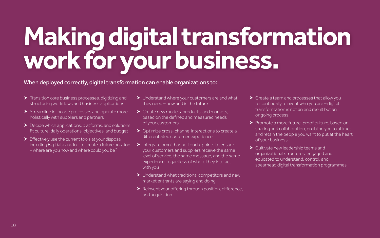## **Making digital transformation work for your business.**

▶ Create a team and processes that allow you to continually reinvent who you are – digital transformation is not an end result but an ongoing process

Promote a more future-proof culture, based on sharing and collaboration, enabling you to attract and retain the people you want to put at the heart of your business

> Cultivate new leadership teams and

organizational structures, engaged and

educated to understand, control, and

- **Transition core business processes, digitizing and** structuring workflows and business applications
- $\triangleright$  Streamline in-house processes and operate more holistically with suppliers and partners
- ▶ Decide which applications, platforms, and solutions fit culture, daily operations, objectives, and budget
- Effectively use the current tools at your disposal, including Big Data and IoT to create a future position – where are you now and where could you be?

spearhead digital transformation programmes

- ▶ Understand where your customers are and what they need – now and in the future
- Create new models, products, and markets, based on the defined and measured needs of your customers
- ▶ Optimize cross-channel interactions to create a differentiated customer experience
- $\blacktriangleright$  Integrate omnichannel touch-points to ensure your customers and suppliers receive the same level of service, the same message, and the same experience, regardless of where they interact with you
- Understand what traditional competitors and new market entrants are saying and doing
- Reinvent your offering through position, difference, and acquisition
- 
- 
- 

#### When deployed correctly, digital transformation can enable organizations to: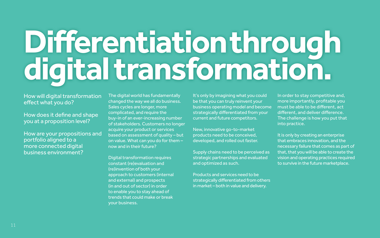# **Differentiation through digital transformation.**

#### How will digital transformation effect what you do?

How does it define and shape you at a proposition level?

How are your propositions and portfolio aligned to a more connected digital business environment?

The digital world has fundamentally changed the way we all do business. Sales cycles are longer, more complicated, and require the buy-in of an ever-increasing number of stakeholders. Customers no longer acquire your product or services based on assessment of quality – but on value. What can you do for them – now and in their future?

Digital transformation requires constant (re)evaluation and (re)invention of both your approach to customers (internal and external) and prospects (in and out of sector) in order to enable you to stay ahead of trends that could make or break your business.

It's only by imagining what you could be that you can truly reinvent your business operating model and become strategically differentiated from your current and future competitors.

New, innovative go-to-market products need to be conceived, developed, and rolled out faster.

Supply chains need to be perceived as strategic partnerships and evaluated and optimized as such.

Products and services need to be strategically differentiated from others in market – both in value and delivery.

In order to stay competitive and, more importantly, profitable you must be able to be different, act different, and deliver difference. The challenge is how you put that into practice.

It is only by creating an enterprise that embraces innovation, and the necessary failure that comes as part of that, that you will be able to create the vision and operating practices required to survive in the future marketplace.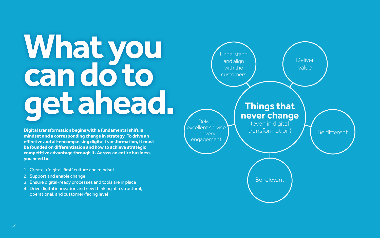# **What you can do to get ahead.**

**Digital transformation begins with a fundamental shift in mindset and a corresponding change in strategy. To drive an effective and all-encompassing digital transformation, it must be founded on differentiation and how to achieve strategic competitive advantage through it. Across an entire business you need to:**

**Understand** and align with the customers

**Deliver** excellent service in every engagement

- 1. Create a 'digital-first' culture and mindset
- 2. Support and enable change
- 3. Ensure digital-ready processes and tools are in place
- 4. Drive digital innovation and new thinking at a structural, operational, and customer-facing level

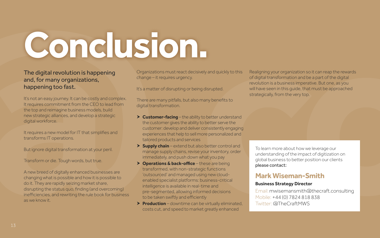# **Conclusion.**

#### The digital revolution is happening and, for many organizations, happening too fast.

It's not an easy journey. It can be costly and complex. It requires commitment from the CEO to lead from the top and reimagine business models, build new strategic alliances, and develop a strategic digital workforce.

It requires a new model for IT that simplifies and transforms IT operations.

But ignore digital transformation at your peril.

Transform or die. Tough words, but true.

A new breed of digitally enhanced businesses are changing what is possible and how it is possible to do it. They are rapidly seizing market share, disrupting the status quo, finding (and overcoming) inefficiencies, and rewriting the rule book for business as we know it.

Organizations must react decisively and quickly to this change – it requires urgency.

It's a matter of disrupting or being disrupted.

There are many pitfalls, but also many benefits to digital transformation.

- **Customer-facing** the ability to better understand the customer gives the ability to better serve the customer: develop and deliver consistently engaging experiences that help to sell more personalized and tailored products and services
- **Supply chain** extend but also better control and manage supply chains, revise your inventory, order immediately, and push down what you pay
- **Operations & back-office** these are being transformed, with non-strategic functions 'outsourced' and managed using new cloudenabled specialist platforms: business-critical intelligence is available in real-time and pre-segmented, allowing informed decisions to be taken swiftly and efficiently
- **Production** downtime can be virtually eliminated, costs cut, and speed to market greatly enhanced

Realigning your organization so it can reap the rewards of digital transformation and be a part of the digital revolution is a business imperative. But one, as you will have seen in this guide, that must be approached strategically, from the very top.

To learn more about how we leverage our understanding of the impact of digitization on global business to better position our clients please contact:

### **Mark Wiseman-Smith**

#### **Business Strategy Director**

Email: mwisemansmith@thecraft.consulting Mobile: +44 (0) 7824 818 838 Twitter: @TheCraftMWS